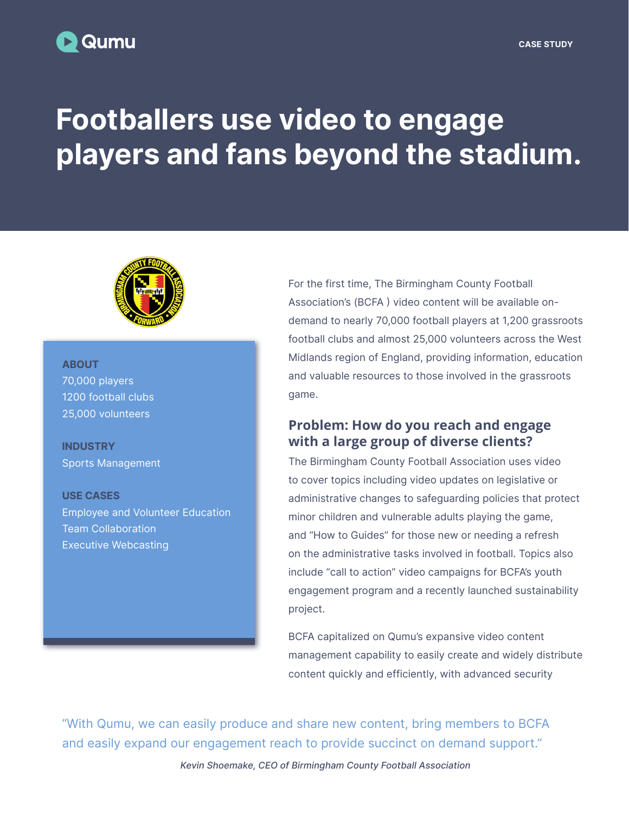## Qumu

# Footballers use video to engage players and fans beyond the stadium.



#### **ABOUT**

70,000 players 1200 football clubs 25,000 volunteers

**INDUSTRY** Sports Management

USE CASES Employee and Volunteer Education Team Collaboration Executive Webcasting

For the first time, The Birmingham County Football Association's (BCFA ) video content will be available ondemand to nearly 70,000 football players at 1,200 grassroots football clubs and almost 25,000 volunteers across the West Midlands region of England, providing information, education and valuable resources to those involved in the grassroots game.

#### **Problem: How do you reach and engage with a large group of diverse clients?**

The Birmingham County Football Association uses video to cover topics including video updates on legislative or administrative changes to safeguarding policies that protect minor children and vulnerable adults playing the game, and "How to Guides" for those new or needing a refresh on the administrative tasks involved in football. Topics also include "call to action" video campaigns for BCFA's youth engagement program and a recently launched sustainability project.

BCFA capitalized on Qumu's expansive video content management capability to easily create and widely distribute content quickly and efficiently, with advanced security

"With Qumu, we can easily produce and share new content, bring members to BCFA and easily expand our engagement reach to provide succinct on demand support."

Kevin Shoemake, CEO of Birmingham County Football Association